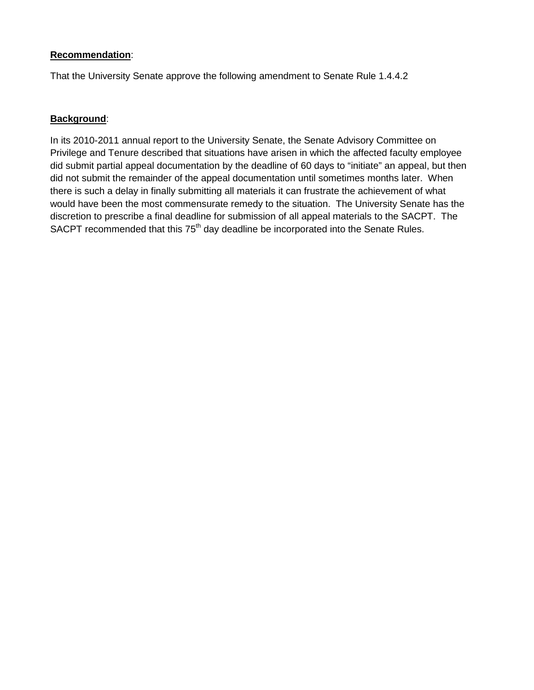## **Recommendation**:

That the University Senate approve the following amendment to Senate Rule 1.4.4.2

## **Background**:

In its 2010-2011 annual report to the University Senate, the Senate Advisory Committee on Privilege and Tenure described that situations have arisen in which the affected faculty employee did submit partial appeal documentation by the deadline of 60 days to "initiate" an appeal, but then did not submit the remainder of the appeal documentation until sometimes months later. When there is such a delay in finally submitting all materials it can frustrate the achievement of what would have been the most commensurate remedy to the situation. The University Senate has the discretion to prescribe a final deadline for submission of all appeal materials to the SACPT. The SACPT recommended that this 75<sup>th</sup> day deadline be incorporated into the Senate Rules.